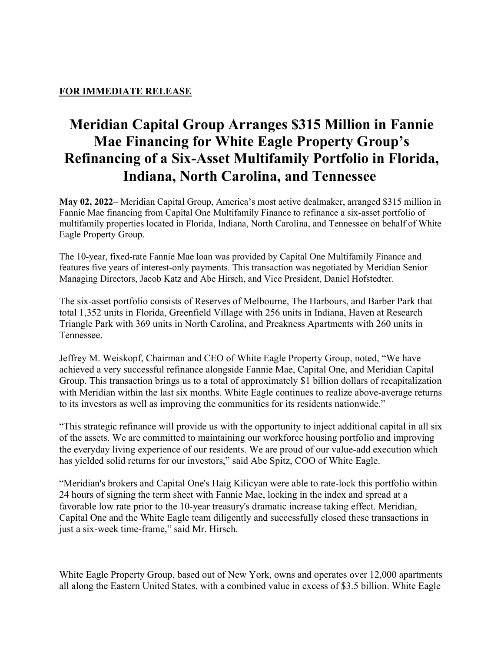## FOR IMMEDIATE RELEASE

## Meridian Capital Group Arranges \$315 Million in Fannie Mae Financing for White Eagle Property Group's Refinancing of a Six-Asset Multifamily Portfolio in Florida, Indiana, North Carolina, and Tennessee

May 02, 2022– Meridian Capital Group, America's most active dealmaker, arranged \$315 million in Fannie Mae financing from Capital One Multifamily Finance to refinance a six-asset portfolio of multifamily properties located in Florida, Indiana, North Carolina, and Tennessee on behalf of White Eagle Property Group.

The 10-year, fixed-rate Fannie Mae loan was provided by Capital One Multifamily Finance and features five years of interest-only payments. This transaction was negotiated by Meridian Senior Managing Directors, Jacob Katz and Abe Hirsch, and Vice President, Daniel Hofstedter.

The six-asset portfolio consists of Reserves of Melbourne, The Harbours, and Barber Park that total 1,352 units in Florida, Greenfield Village with 256 units in Indiana, Haven at Research Triangle Park with 369 units in North Carolina, and Preakness Apartments with 260 units in Tennessee.

Jeffrey M. Weiskopf, Chairman and CEO of White Eagle Property Group, noted, "We have achieved a very successful refinance alongside Fannie Mae, Capital One, and Meridian Capital Group. This transaction brings us to a total of approximately \$1 billion dollars of recapitalization with Meridian within the last six months. White Eagle continues to realize above-average returns to its investors as well as improving the communities for its residents nationwide."

"This strategic refinance will provide us with the opportunity to inject additional capital in all six of the assets. We are committed to maintaining our workforce housing portfolio and improving the everyday living experience of our residents. We are proud of our value-add execution which has yielded solid returns for our investors," said Abe Spitz, COO of White Eagle.

"Meridian's brokers and Capital One's Haig Kilicyan were able to rate-lock this portfolio within 24 hours of signing the term sheet with Fannie Mae, locking in the index and spread at a favorable low rate prior to the 10-year treasury's dramatic increase taking effect. Meridian, Capital One and the White Eagle team diligently and successfully closed these transactions in just a six-week time-frame," said Mr. Hirsch.

White Eagle Property Group, based out of New York, owns and operates over 12,000 apartments all along the Eastern United States, with a combined value in excess of \$3.5 billion. White Eagle